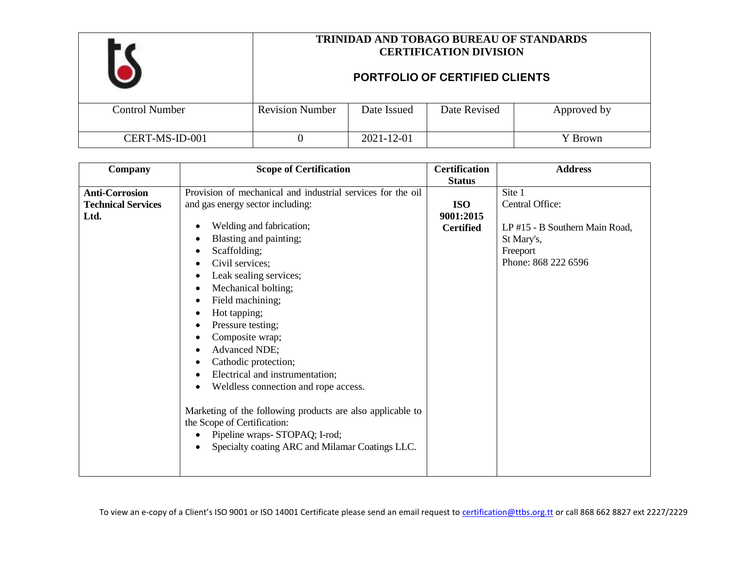|                       | <b>TRINIDAD AND TOBAGO BUREAU OF STANDARDS</b><br><b>CERTIFICATION DIVISION</b><br>PORTFOLIO OF CERTIFIED CLIENTS<br><b>Revision Number</b><br>Date Revised<br>Date Issued<br>Approved by |            |  |         |
|-----------------------|-------------------------------------------------------------------------------------------------------------------------------------------------------------------------------------------|------------|--|---------|
| <b>Control Number</b> |                                                                                                                                                                                           |            |  |         |
| CERT-MS-ID-001        |                                                                                                                                                                                           | 2021-12-01 |  | Y Brown |

| Company                   | <b>Scope of Certification</b>                               | <b>Certification</b> | <b>Address</b>                 |
|---------------------------|-------------------------------------------------------------|----------------------|--------------------------------|
|                           |                                                             | <b>Status</b>        |                                |
| <b>Anti-Corrosion</b>     | Provision of mechanical and industrial services for the oil |                      | Site 1                         |
| <b>Technical Services</b> | and gas energy sector including:                            | <b>ISO</b>           | Central Office:                |
| Ltd.                      |                                                             | 9001:2015            |                                |
|                           | Welding and fabrication;<br>$\bullet$                       | <b>Certified</b>     | LP #15 - B Southern Main Road, |
|                           | Blasting and painting;<br>$\bullet$                         |                      | St Mary's,                     |
|                           | Scaffolding;<br>€                                           |                      | Freeport                       |
|                           | Civil services;<br>$\bullet$                                |                      | Phone: 868 222 6596            |
|                           | Leak sealing services;<br>$\bullet$                         |                      |                                |
|                           | Mechanical bolting;<br>$\bullet$                            |                      |                                |
|                           | Field machining;<br>$\bullet$                               |                      |                                |
|                           | Hot tapping;<br>$\bullet$                                   |                      |                                |
|                           | Pressure testing;<br>$\bullet$                              |                      |                                |
|                           | Composite wrap;                                             |                      |                                |
|                           | Advanced NDE;<br>$\bullet$                                  |                      |                                |
|                           | Cathodic protection;<br>٠                                   |                      |                                |
|                           | Electrical and instrumentation;<br>٠                        |                      |                                |
|                           | Weldless connection and rope access.<br>$\bullet$           |                      |                                |
|                           |                                                             |                      |                                |
|                           | Marketing of the following products are also applicable to  |                      |                                |
|                           | the Scope of Certification:                                 |                      |                                |
|                           | Pipeline wraps-STOPAQ; I-rod;                               |                      |                                |
|                           | Specialty coating ARC and Milamar Coatings LLC.             |                      |                                |
|                           |                                                             |                      |                                |
|                           |                                                             |                      |                                |
|                           |                                                             |                      |                                |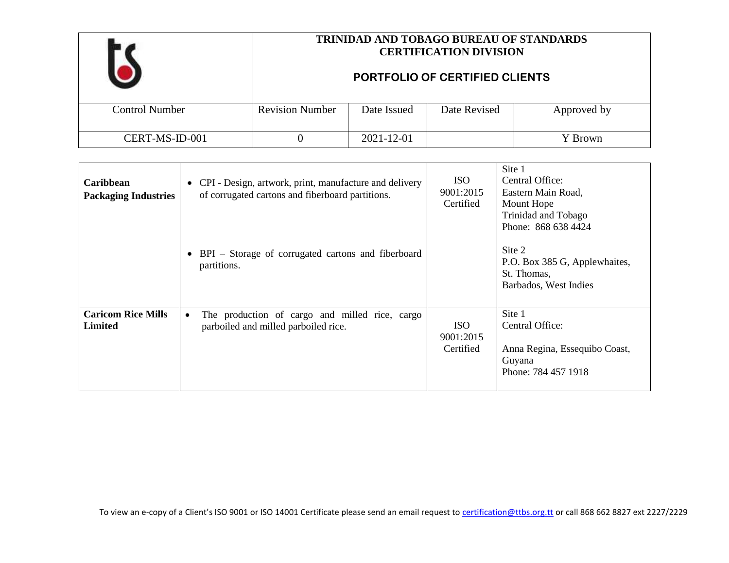|                       | TRINIDAD AND TOBAGO BUREAU OF STANDARDS<br><b>CERTIFICATION DIVISION</b><br><b>PORTFOLIO OF CERTIFIED CLIENTS</b> |             |              |             |
|-----------------------|-------------------------------------------------------------------------------------------------------------------|-------------|--------------|-------------|
| <b>Control Number</b> | <b>Revision Number</b>                                                                                            | Date Issued | Date Revised | Approved by |
| CERT-MS-ID-001        |                                                                                                                   | 2021-12-01  |              | Y Brown     |

| Caribbean<br><b>Packaging Industries</b>    | • CPI - Design, artwork, print, manufacture and delivery<br>of corrugated cartons and fiberboard partitions.<br>• BPI – Storage of corrugated cartons and fiberboard<br>partitions. | ISO.<br>9001:2015<br>Certified       | Site 1<br>Central Office:<br>Eastern Main Road,<br>Mount Hope<br>Trinidad and Tobago<br>Phone: 868 638 4424<br>Site 2<br>P.O. Box 385 G, Applewhaites,<br>St. Thomas,<br>Barbados, West Indies |
|---------------------------------------------|-------------------------------------------------------------------------------------------------------------------------------------------------------------------------------------|--------------------------------------|------------------------------------------------------------------------------------------------------------------------------------------------------------------------------------------------|
| <b>Caricom Rice Mills</b><br><b>Limited</b> | The production of cargo and milled rice, cargo<br>$\bullet$<br>parboiled and milled parboiled rice.                                                                                 | <b>ISO</b><br>9001:2015<br>Certified | Site 1<br>Central Office:<br>Anna Regina, Essequibo Coast,<br>Guyana<br>Phone: 784 457 1918                                                                                                    |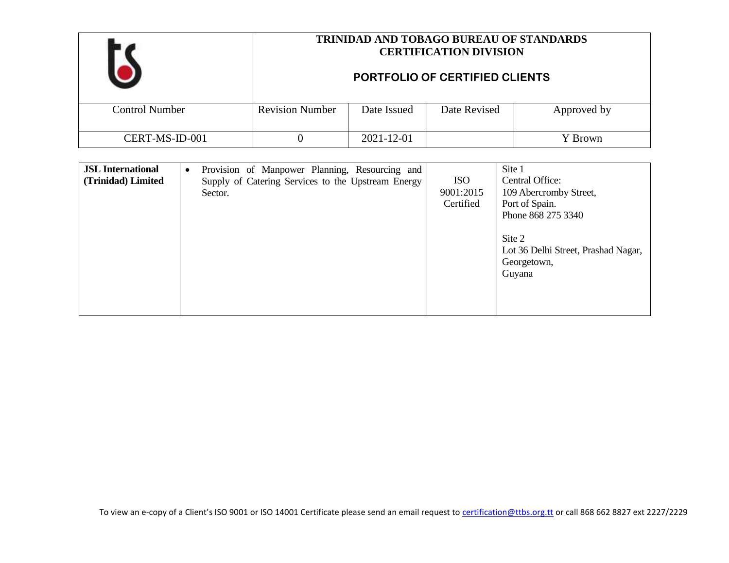|                       | <b>TRINIDAD AND TOBAGO BUREAU OF STANDARDS</b><br><b>CERTIFICATION DIVISION</b><br><b>PORTFOLIO OF CERTIFIED CLIENTS</b> |             |              |             |
|-----------------------|--------------------------------------------------------------------------------------------------------------------------|-------------|--------------|-------------|
|                       |                                                                                                                          |             |              |             |
| <b>Control Number</b> | <b>Revision Number</b>                                                                                                   | Date Issued | Date Revised | Approved by |
| CERT-MS-ID-001        |                                                                                                                          | 2021-12-01  |              | Y Brown     |

| <b>JSL</b> International<br>$\bullet$<br>(Trinidad) Limited<br>Sector. | Provision of Manpower Planning, Resourcing and<br>Supply of Catering Services to the Upstream Energy | <b>ISO</b><br>9001:2015<br>Certified | Site 1<br>Central Office:<br>109 Abercromby Street,<br>Port of Spain.<br>Phone 868 275 3340<br>Site 2<br>Lot 36 Delhi Street, Prashad Nagar,<br>Georgetown,<br>Guyana |
|------------------------------------------------------------------------|------------------------------------------------------------------------------------------------------|--------------------------------------|-----------------------------------------------------------------------------------------------------------------------------------------------------------------------|
|------------------------------------------------------------------------|------------------------------------------------------------------------------------------------------|--------------------------------------|-----------------------------------------------------------------------------------------------------------------------------------------------------------------------|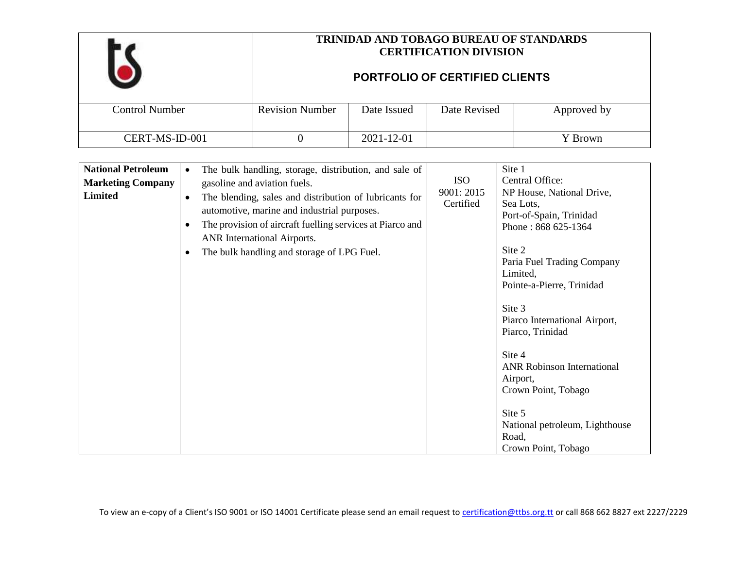|                       | <b>TRINIDAD AND TOBAGO BUREAU OF STANDARDS</b><br><b>CERTIFICATION DIVISION</b><br><b>PORTFOLIO OF CERTIFIED CLIENTS</b> |             |              |             |
|-----------------------|--------------------------------------------------------------------------------------------------------------------------|-------------|--------------|-------------|
| <b>Control Number</b> | <b>Revision Number</b>                                                                                                   | Date Issued | Date Revised | Approved by |
| CERT-MS-ID-001        |                                                                                                                          | 2021-12-01  |              | Y Brown     |

| The bulk handling, storage, distribution, and sale of<br>$\bullet$ |                                                                                                                                                                                                                                                             | Site 1                            |
|--------------------------------------------------------------------|-------------------------------------------------------------------------------------------------------------------------------------------------------------------------------------------------------------------------------------------------------------|-----------------------------------|
|                                                                    | <b>ISO</b>                                                                                                                                                                                                                                                  | Central Office:                   |
|                                                                    |                                                                                                                                                                                                                                                             | NP House, National Drive,         |
|                                                                    |                                                                                                                                                                                                                                                             | Sea Lots,                         |
|                                                                    |                                                                                                                                                                                                                                                             | Port-of-Spain, Trinidad           |
|                                                                    |                                                                                                                                                                                                                                                             | Phone: 868 625-1364               |
|                                                                    |                                                                                                                                                                                                                                                             |                                   |
| The bulk handling and storage of LPG Fuel.<br>$\bullet$            |                                                                                                                                                                                                                                                             | Site 2                            |
|                                                                    |                                                                                                                                                                                                                                                             | Paria Fuel Trading Company        |
|                                                                    |                                                                                                                                                                                                                                                             | Limited,                          |
|                                                                    |                                                                                                                                                                                                                                                             | Pointe-a-Pierre, Trinidad         |
|                                                                    |                                                                                                                                                                                                                                                             |                                   |
|                                                                    |                                                                                                                                                                                                                                                             | Site 3                            |
|                                                                    |                                                                                                                                                                                                                                                             | Piarco International Airport,     |
|                                                                    |                                                                                                                                                                                                                                                             | Piarco, Trinidad                  |
|                                                                    |                                                                                                                                                                                                                                                             |                                   |
|                                                                    |                                                                                                                                                                                                                                                             | Site 4                            |
|                                                                    |                                                                                                                                                                                                                                                             | <b>ANR Robinson International</b> |
|                                                                    |                                                                                                                                                                                                                                                             | Airport,                          |
|                                                                    |                                                                                                                                                                                                                                                             | Crown Point, Tobago               |
|                                                                    |                                                                                                                                                                                                                                                             | Site 5                            |
|                                                                    |                                                                                                                                                                                                                                                             | National petroleum, Lighthouse    |
|                                                                    |                                                                                                                                                                                                                                                             | Road,                             |
|                                                                    |                                                                                                                                                                                                                                                             | Crown Point, Tobago               |
|                                                                    | gasoline and aviation fuels.<br>The blending, sales and distribution of lubricants for<br>$\bullet$<br>automotive, marine and industrial purposes.<br>The provision of aircraft fuelling services at Piarco and<br>$\bullet$<br>ANR International Airports. | 9001: 2015<br>Certified           |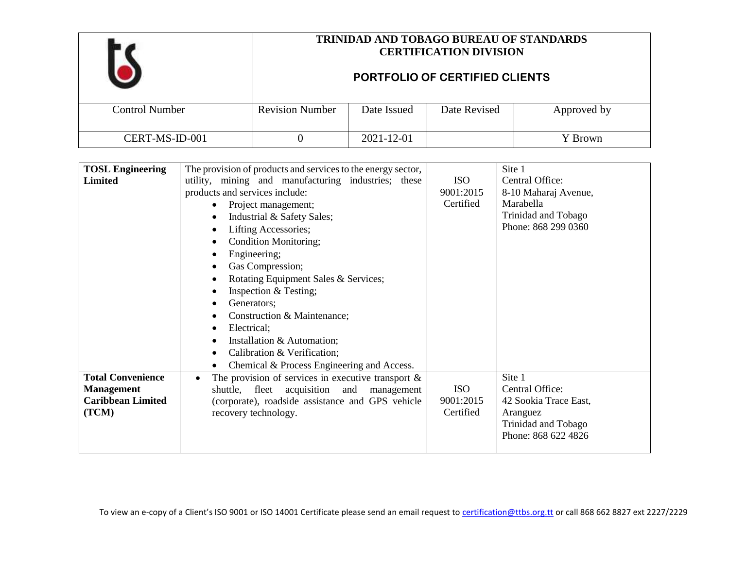|                       | <b>TRINIDAD AND TOBAGO BUREAU OF STANDARDS</b><br><b>CERTIFICATION DIVISION</b><br><b>PORTFOLIO OF CERTIFIED CLIENTS</b> |             |              |             |
|-----------------------|--------------------------------------------------------------------------------------------------------------------------|-------------|--------------|-------------|
|                       |                                                                                                                          |             |              |             |
| <b>Control Number</b> | <b>Revision Number</b>                                                                                                   | Date Issued | Date Revised | Approved by |
| CERT-MS-ID-001        |                                                                                                                          | 2021-12-01  |              | Y Brown     |

| <b>TOSL Engineering</b>                                                            | The provision of products and services to the energy sector,                                                                                                                                                                                                                                                                                                                                                                                                             |                                      | Site 1                                                                                                       |
|------------------------------------------------------------------------------------|--------------------------------------------------------------------------------------------------------------------------------------------------------------------------------------------------------------------------------------------------------------------------------------------------------------------------------------------------------------------------------------------------------------------------------------------------------------------------|--------------------------------------|--------------------------------------------------------------------------------------------------------------|
| Limited                                                                            | utility, mining and manufacturing industries; these<br>products and services include:<br>Project management;<br>Industrial & Safety Sales;<br>Lifting Accessories;<br>Condition Monitoring;<br>Engineering;<br>Gas Compression;<br>Rotating Equipment Sales & Services;<br>Inspection & Testing;<br>Generators;<br>Construction & Maintenance;<br>Electrical;<br>Installation & Automation;<br>Calibration & Verification;<br>Chemical & Process Engineering and Access. | <b>ISO</b><br>9001:2015<br>Certified | Central Office:<br>8-10 Maharaj Avenue,<br>Marabella<br>Trinidad and Tobago<br>Phone: 868 299 0360           |
| <b>Total Convenience</b><br><b>Management</b><br><b>Caribbean Limited</b><br>(TCM) | The provision of services in executive transport $\&$<br>$\bullet$<br>shuttle, fleet acquisition and<br>management<br>(corporate), roadside assistance and GPS vehicle<br>recovery technology.                                                                                                                                                                                                                                                                           | <b>ISO</b><br>9001:2015<br>Certified | Site 1<br>Central Office:<br>42 Sookia Trace East,<br>Aranguez<br>Trinidad and Tobago<br>Phone: 868 622 4826 |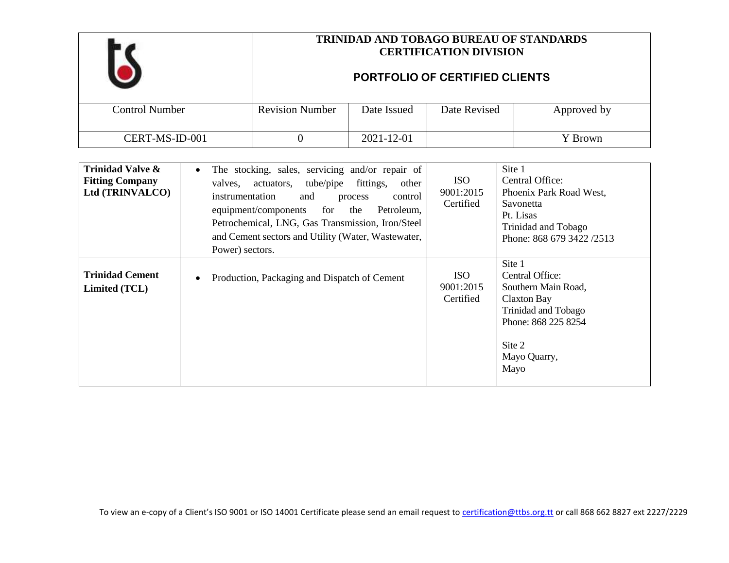|                       | <b>TRINIDAD AND TOBAGO BUREAU OF STANDARDS</b><br><b>CERTIFICATION DIVISION</b><br>PORTFOLIO OF CERTIFIED CLIENTS |             |              |             |
|-----------------------|-------------------------------------------------------------------------------------------------------------------|-------------|--------------|-------------|
| <b>Control Number</b> | <b>Revision Number</b>                                                                                            | Date Issued | Date Revised | Approved by |
| CERT-MS-ID-001        |                                                                                                                   | 2021-12-01  |              | Y Brown     |

| <b>Trinidad Valve &amp;</b><br><b>Fitting Company</b><br>Ltd (TRINVALCO) | The stocking, sales, servicing and/or repair of<br>$\bullet$<br>tube/pipe fittings,<br>other<br>valves, actuators,<br>instrumentation<br>control<br>and<br>process<br>Petroleum,<br>equipment/components<br>the<br>for<br>Petrochemical, LNG, Gas Transmission, Iron/Steel<br>and Cement sectors and Utility (Water, Wastewater,<br>Power) sectors. | <b>ISO</b><br>9001:2015<br>Certified | Site 1<br>Central Office:<br>Phoenix Park Road West,<br>Savonetta<br>Pt. Lisas<br>Trinidad and Tobago<br>Phone: 868 679 3422 /2513              |
|--------------------------------------------------------------------------|-----------------------------------------------------------------------------------------------------------------------------------------------------------------------------------------------------------------------------------------------------------------------------------------------------------------------------------------------------|--------------------------------------|-------------------------------------------------------------------------------------------------------------------------------------------------|
| <b>Trinidad Cement</b><br>Limited (TCL)                                  | Production, Packaging and Dispatch of Cement<br>$\bullet$                                                                                                                                                                                                                                                                                           | ISO.<br>9001:2015<br>Certified       | Site 1<br>Central Office:<br>Southern Main Road,<br>Claxton Bay<br>Trinidad and Tobago<br>Phone: 868 225 8254<br>Site 2<br>Mayo Quarry,<br>Mayo |